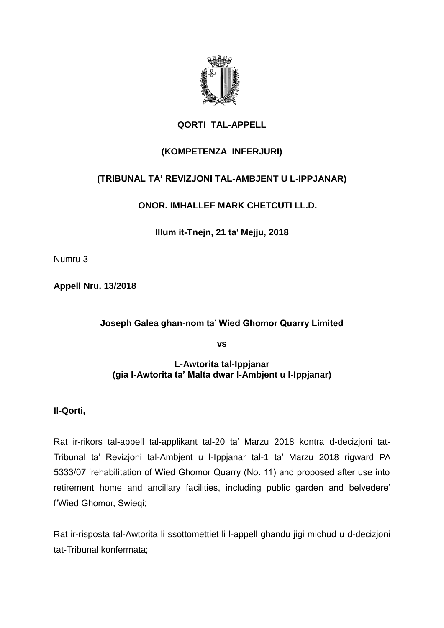

# **QORTI TAL-APPELL**

## **(KOMPETENZA INFERJURI)**

# **(TRIBUNAL TA' REVIZJONI TAL-AMBJENT U L-IPPJANAR)**

**ONOR. IMHALLEF MARK CHETCUTI LL.D.**

**Illum it-Tnejn, 21 ta' Mejju, 2018**

Numru 3

**Appell Nru. 13/2018**

### **Joseph Galea ghan-nom ta' Wied Ghomor Quarry Limited**

**vs**

### **L-Awtorita tal-Ippjanar (gia l-Awtorita ta' Malta dwar l-Ambjent u l-Ippjanar)**

**Il-Qorti,**

Rat ir-rikors tal-appell tal-applikant tal-20 ta' Marzu 2018 kontra d-decizjoni tat-Tribunal ta' Revizjoni tal-Ambjent u l-Ippjanar tal-1 ta' Marzu 2018 rigward PA 5333/07 'rehabilitation of Wied Ghomor Quarry (No. 11) and proposed after use into retirement home and ancillary facilities, including public garden and belvedere' f'Wied Ghomor, Swieqi;

Rat ir-risposta tal-Awtorita li ssottomettiet li l-appell ghandu jigi michud u d-decizjoni tat-Tribunal konfermata;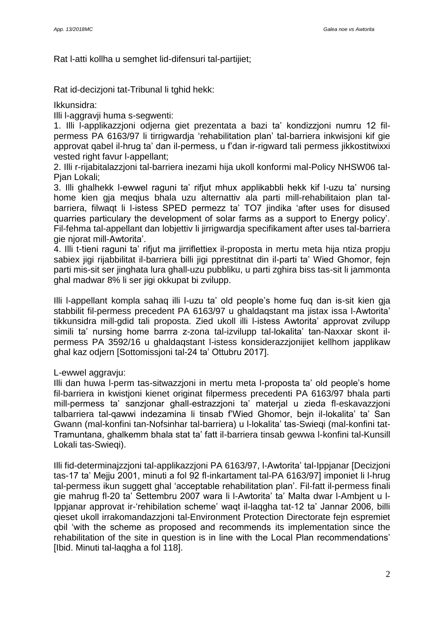Rat l-atti kollha u semghet lid-difensuri tal-partijiet;

Rat id-decizjoni tat-Tribunal li tghid hekk:

Ikkunsidra:

Illi l-aggravji huma s-segwenti:

1. Illi l-applikazzjoni odjerna giet prezentata a bazi ta' kondizzjoni numru 12 filpermess PA 6163/97 li tirrigwardja 'rehabilitation plan' tal-barriera inkwisjoni kif gie approvat qabel il-hrug ta' dan il-permess, u f'dan ir-rigward tali permess jikkostitwixxi vested right favur l-appellant;

2. Illi r-rijabitalazzjoni tal-barriera inezami hija ukoll konformi mal-Policy NHSW06 tal-Pian Lokali:

3. Illi ghalhekk l-ewwel raguni ta' rifjut mhux applikabbli hekk kif l-uzu ta' nursing home kien gja meqjus bhala uzu alternattiv ala parti mill-rehabilitaion plan talbarriera, filwaqt li l-istess SPED permezz ta' TO7 jindika 'after uses for disused quarries particulary the development of solar farms as a support to Energy policy'. Fil-fehma tal-appellant dan lobjettiv li jirrigwardja specifikament after uses tal-barriera gie njorat mill-Awtorita'.

4. Illi t-tieni raguni ta' rifjut ma jirriflettiex il-proposta in mertu meta hija ntiza propju sabiex jigi rijabbilitat il-barriera billi jigi pprestitnat din il-parti ta' Wied Ghomor, fejn parti mis-sit ser jinghata lura ghall-uzu pubbliku, u parti zghira biss tas-sit li jammonta ghal madwar 8% li ser jigi okkupat bi zvilupp.

Illi l-appellant kompla sahaq illi l-uzu ta' old people's home fuq dan is-sit kien gja stabbilit fil-permess precedent PA 6163/97 u ghaldaqstant ma jistax issa l-Awtorita' tikkunsidra mill-gdid tali proposta. Zied ukoll illi l-istess Awtorita' approvat zvilupp simili ta' nursing home barrra z-zona tal-izvilupp tal-lokalita' tan-Naxxar skont ilpermess PA 3592/16 u ghaldaqstant l-istess konsiderazzjonijiet kellhom japplikaw ghal kaz odjern [Sottomissjoni tal-24 ta' Ottubru 2017].

### L-ewwel aggravju:

Illi dan huwa l-perm tas-sitwazzjoni in mertu meta l-proposta ta' old people's home fil-barriera in kwistjoni kienet originat filpermess precedenti PA 6163/97 bhala parti mill-permess ta' sanzjonar ghall-estrazzjoni ta' materjal u zieda fl-eskavazzjoni talbarriera tal-qawwi indezamina li tinsab f'Wied Ghomor, bejn il-lokalita' ta' San Gwann (mal-konfini tan-Nofsinhar tal-barriera) u l-lokalita' tas-Swieqi (mal-konfini tat-Tramuntana, ghalkemm bhala stat ta' fatt il-barriera tinsab gewwa l-konfini tal-Kunsill Lokali tas-Swieqi).

Illi fid-determinajzzjoni tal-applikazzjoni PA 6163/97, l-Awtorita' tal-Ippjanar [Decizjoni tas-17 ta' Mejju 2001, minuti a fol 92 fl-inkartament tal-PA 6163/97] imponiet li l-hrug tal-permess ikun suggett ghal 'acceptable rehabilitation plan'. Fil-fatt il-permess finali gie mahrug fl-20 ta' Settembru 2007 wara li l-Awtorita' ta' Malta dwar l-Ambjent u l-Ippjanar approvat ir-'rehibilation scheme' waqt il-laqgha tat-12 ta' Jannar 2006, billi qieset ukoll irrakomandazzjoni tal-Environment Protection Directorate fejn espremiet qbil 'with the scheme as proposed and recommends its implementation since the rehabilitation of the site in question is in line with the Local Plan recommendations' [Ibid. Minuti tal-laqgha a fol 118].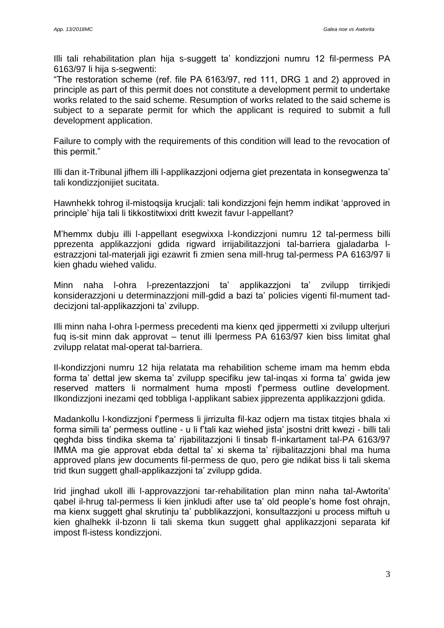Illi tali rehabilitation plan hija s-suggett ta' kondizzjoni numru 12 fil-permess PA 6163/97 li hija s-segwenti:

"The restoration scheme (ref. file PA 6163/97, red 111, DRG 1 and 2) approved in principle as part of this permit does not constitute a development permit to undertake works related to the said scheme. Resumption of works related to the said scheme is subject to a separate permit for which the applicant is required to submit a full development application.

Failure to comply with the requirements of this condition will lead to the revocation of this permit."

Illi dan it-Tribunal jifhem illi l-applikazzjoni odjerna giet prezentata in konsegwenza ta' tali kondizzjonijiet sucitata.

Hawnhekk tohrog il-mistoqsija krucjali: tali kondizzjoni fejn hemm indikat 'approved in principle' hija tali li tikkostitwixxi dritt kwezit favur l-appellant?

M'hemmx dubju illi l-appellant esegwixxa l-kondizzjoni numru 12 tal-permess billi pprezenta applikazzjoni gdida rigward irrijabilitazzjoni tal-barriera gjaladarba lestrazzjoni tal-materjali jigi ezawrit fi zmien sena mill-hrug tal-permess PA 6163/97 li kien ghadu wiehed validu.

Minn naha l-ohra l-prezentazzjoni ta' applikazzjoni ta' zvilupp tirrikjedi konsiderazzjoni u determinazzjoni mill-gdid a bazi ta' policies vigenti fil-mument taddecizjoni tal-applikazzjoni ta' zvilupp.

Illi minn naha l-ohra l-permess precedenti ma kienx qed jippermetti xi zvilupp ulterjuri fuq is-sit minn dak approvat – tenut illi lpermess PA 6163/97 kien biss limitat ghal zvilupp relatat mal-operat tal-barriera.

Il-kondizzjoni numru 12 hija relatata ma rehabilition scheme imam ma hemm ebda forma ta' dettal jew skema ta' zvilupp specifiku jew tal-inqas xi forma ta' gwida jew reserved matters li normalment huma mposti f'permess outline development. Ilkondizzjoni inezami qed tobbliga l-applikant sabiex jipprezenta applikazzjoni gdida.

Madankollu l-kondizzjoni f'permess li jirrizulta fil-kaz odjern ma tistax titqies bhala xi forma simili ta' permess outline - u li f'tali kaz wiehed jista' jsostni dritt kwezi - billi tali qeghda biss tindika skema ta' rijabilitazzjoni li tinsab fl-inkartament tal-PA 6163/97 IMMA ma gie approvat ebda dettal ta' xi skema ta' rijibalitazzjoni bhal ma huma approved plans jew documents fil-permess de quo, pero gie ndikat biss li tali skema trid tkun suggett ghall-applikazzjoni ta' zvilupp gdida.

Irid jinghad ukoll illi l-approvazzjoni tar-rehabilitation plan minn naha tal-Awtorita' qabel il-hrug tal-permess li kien jinkludi after use ta' old people's home fost ohrajn, ma kienx suggett ghal skrutinju ta' pubblikazzjoni, konsultazzjoni u process miftuh u kien ghalhekk il-bzonn li tali skema tkun suggett ghal applikazzjoni separata kif impost fl-istess kondizzjoni.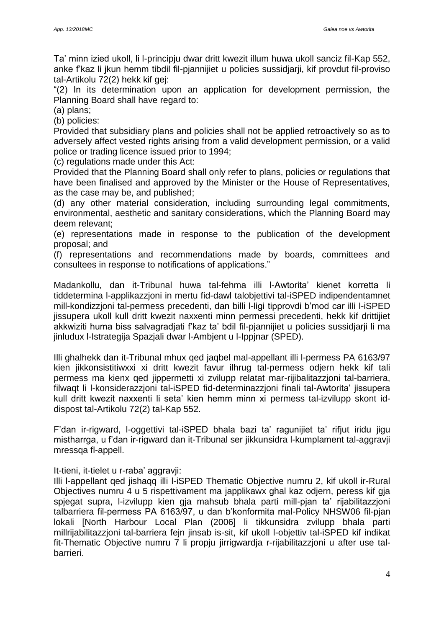Ta' minn izied ukoll, li l-principju dwar dritt kwezit illum huwa ukoll sanciz fil-Kap 552, anke f'kaz li jkun hemm tibdil fil-pjannijiet u policies sussidjarji, kif provdut fil-proviso tal-Artikolu 72(2) hekk kif gej:

"(2) In its determination upon an application for development permission, the Planning Board shall have regard to:

(a) plans;

(b) policies:

Provided that subsidiary plans and policies shall not be applied retroactively so as to adversely affect vested rights arising from a valid development permission, or a valid police or trading licence issued prior to 1994;

(c) regulations made under this Act:

Provided that the Planning Board shall only refer to plans, policies or regulations that have been finalised and approved by the Minister or the House of Representatives, as the case may be, and published;

(d) any other material consideration, including surrounding legal commitments, environmental, aesthetic and sanitary considerations, which the Planning Board may deem relevant;

(e) representations made in response to the publication of the development proposal; and

(f) representations and recommendations made by boards, committees and consultees in response to notifications of applications."

Madankollu, dan it-Tribunal huwa tal-fehma illi l-Awtorita' kienet korretta li tiddetermina l-applikazzjoni in mertu fid-dawl talobjettivi tal-iSPED indipendentamnet mill-kondizzjoni tal-permess precedenti, dan billi l-ligi tipprovdi b'mod car illi l-iSPED jissupera ukoll kull dritt kwezit naxxenti minn permessi precedenti, hekk kif drittijiet akkwiziti huma biss salvagradjati f'kaz ta' bdil fil-pjannijiet u policies sussidjarji li ma jinludux l-Istrategija Spazjali dwar l-Ambjent u l-Ippjnar (SPED).

Illi ghalhekk dan it-Tribunal mhux qed jaqbel mal-appellant illi l-permess PA 6163/97 kien jikkonsistitiwxxi xi dritt kwezit favur ilhrug tal-permess odjern hekk kif tali permess ma kienx qed jippermetti xi zvilupp relatat mar-rijibalitazzjoni tal-barriera, filwaqt li l-konsiderazzjoni tal-iSPED fid-determinazzjoni finali tal-Awtorita' jissupera kull dritt kwezit naxxenti li seta' kien hemm minn xi permess tal-izvilupp skont iddispost tal-Artikolu 72(2) tal-Kap 552.

F'dan ir-rigward, l-oggettivi tal-iSPED bhala bazi ta' ragunijiet ta' rifjut iridu jigu mistharrga, u f'dan ir-rigward dan it-Tribunal ser jikkunsidra l-kumplament tal-aggravji mressqa fl-appell.

It-tieni, it-tielet u r-raba' aggravji:

Illi l-appellant qed jishaqq illi l-iSPED Thematic Objective numru 2, kif ukoll ir-Rural Objectives numru 4 u 5 rispettivament ma japplikawx ghal kaz odjern, peress kif gja spjegat supra, l-izvilupp kien gja mahsub bhala parti mill-pjan ta' rijabilitazzjoni talbarriera fil-permess PA 6163/97, u dan b'konformita mal-Policy NHSW06 fil-pjan lokali [North Harbour Local Plan (2006] li tikkunsidra zvilupp bhala parti millrijabilitazzjoni tal-barriera fejn jinsab is-sit, kif ukoll l-objettiv tal-iSPED kif indikat fit-Thematic Objective numru 7 li propju jirrigwardja r-rijabilitazzjoni u after use talbarrieri.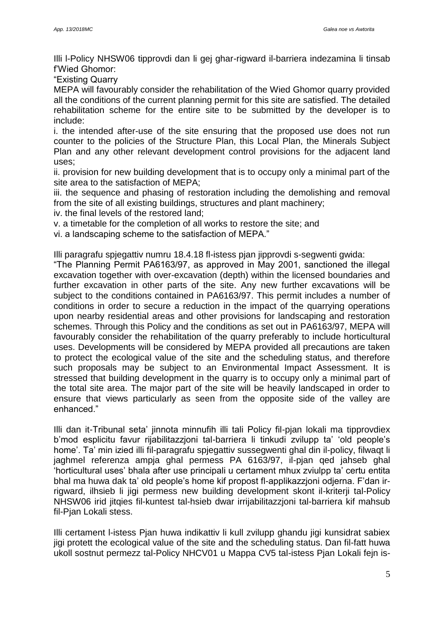Illi l-Policy NHSW06 tipprovdi dan li gej ghar-rigward il-barriera indezamina li tinsab f'Wied Ghomor:

"Existing Quarry

MEPA will favourably consider the rehabilitation of the Wied Ghomor quarry provided all the conditions of the current planning permit for this site are satisfied. The detailed rehabilitation scheme for the entire site to be submitted by the developer is to include:

i. the intended after-use of the site ensuring that the proposed use does not run counter to the policies of the Structure Plan, this Local Plan, the Minerals Subject Plan and any other relevant development control provisions for the adjacent land uses;

ii. provision for new building development that is to occupy only a minimal part of the site area to the satisfaction of MEPA;

iii. the sequence and phasing of restoration including the demolishing and removal from the site of all existing buildings, structures and plant machinery;

iv. the final levels of the restored land;

v. a timetable for the completion of all works to restore the site; and

vi. a landscaping scheme to the satisfaction of MEPA."

Illi paragrafu spjegattiv numru 18.4.18 fl-istess pjan jipprovdi s-segwenti gwida:

"The Planning Permit PA6163/97, as approved in May 2001, sanctioned the illegal excavation together with over-excavation (depth) within the licensed boundaries and further excavation in other parts of the site. Any new further excavations will be subject to the conditions contained in PA6163/97. This permit includes a number of conditions in order to secure a reduction in the impact of the quarrying operations upon nearby residential areas and other provisions for landscaping and restoration schemes. Through this Policy and the conditions as set out in PA6163/97, MEPA will favourably consider the rehabilitation of the quarry preferably to include horticultural uses. Developments will be considered by MEPA provided all precautions are taken to protect the ecological value of the site and the scheduling status, and therefore such proposals may be subject to an Environmental Impact Assessment. It is stressed that building development in the quarry is to occupy only a minimal part of the total site area. The major part of the site will be heavily landscaped in order to ensure that views particularly as seen from the opposite side of the valley are enhanced."

Illi dan it-Tribunal seta' jinnota minnufih illi tali Policy fil-pjan lokali ma tipprovdiex b'mod esplicitu favur rijabilitazzjoni tal-barriera li tinkudi zvilupp ta' 'old people's home'. Ta' min izied illi fil-paragrafu spjegattiv sussegwenti ghal din il-policy, filwaqt li jaghmel referenza ampja ghal permess PA 6163/97, il-pjan qed jahseb ghal 'horticultural uses' bhala after use principali u certament mhux zviulpp ta' certu entita bhal ma huwa dak ta' old people's home kif propost fl-applikazzjoni odjerna. F'dan irrigward, ilhsieb li jigi permess new building development skont il-kriterji tal-Policy NHSW06 irid jitqies fil-kuntest tal-hsieb dwar irrijabilitazzjoni tal-barriera kif mahsub fil-Pjan Lokali stess.

Illi certament l-istess Pjan huwa indikattiv li kull zvilupp ghandu jigi kunsidrat sabiex jigi protett the ecological value of the site and the scheduling status. Dan fil-fatt huwa ukoll sostnut permezz tal-Policy NHCV01 u Mappa CV5 tal-istess Pjan Lokali fejn is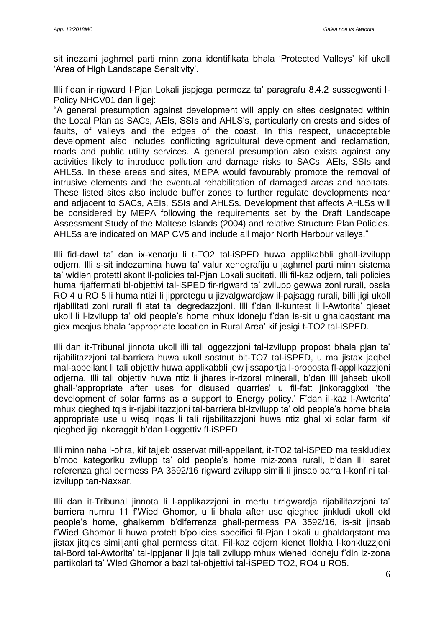sit inezami jaghmel parti minn zona identifikata bhala 'Protected Valleys' kif ukoll 'Area of High Landscape Sensitivity'.

Illi f'dan ir-rigward l-Pjan Lokali jispjega permezz ta' paragrafu 8.4.2 sussegwenti l-Policy NHCV01 dan li gei:

"A general presumption against development will apply on sites designated within the Local Plan as SACs, AEIs, SSIs and AHLS's, particularly on crests and sides of faults, of valleys and the edges of the coast. In this respect, unacceptable development also includes conflicting agricultural development and reclamation, roads and public utility services. A general presumption also exists against any activities likely to introduce pollution and damage risks to SACs, AEIs, SSIs and AHLSs. In these areas and sites, MEPA would favourably promote the removal of intrusive elements and the eventual rehabilitation of damaged areas and habitats. These listed sites also include buffer zones to further regulate developments near and adjacent to SACs, AEIs, SSIs and AHLSs. Development that affects AHLSs will be considered by MEPA following the requirements set by the Draft Landscape Assessment Study of the Maltese Islands (2004) and relative Structure Plan Policies. AHLSs are indicated on MAP CV5 and include all major North Harbour valleys."

Illi fid-dawl ta' dan ix-xenarju li t-TO2 tal-iSPED huwa applikabbli ghall-izvilupp odjern. Illi s-sit indezamina huwa ta' valur xenografiju u jaghmel parti minn sistema ta' widien protetti skont il-policies tal-Pjan Lokali sucitati. Illi fil-kaz odjern, tali policies huma rijaffermati bl-objettivi tal-iSPED fir-rigward ta' zvilupp gewwa zoni rurali, ossia RO 4 u RO 5 li huma ntizi li jipprotegu u jizvalgwardjaw il-pajsagg rurali, billi jigi ukoll rijabilitati zoni rurali fi stat ta' degredazzjoni. Illi f'dan il-kuntest li l-Awtorita' qieset ukoll li l-izvilupp ta' old people's home mhux idoneju f'dan is-sit u ghaldaqstant ma giex meqjus bhala 'appropriate location in Rural Area' kif jesigi t-TO2 tal-iSPED.

Illi dan it-Tribunal jinnota ukoll illi tali oggezzjoni tal-izvilupp propost bhala pjan ta' rijabilitazzjoni tal-barriera huwa ukoll sostnut bit-TO7 tal-iSPED, u ma jistax jaqbel mal-appellant li tali objettiv huwa applikabbli jew jissaportja l-proposta fl-applikazzjoni odjerna. Illi tali objettiv huwa ntiz li jhares ir-rizorsi minerali, b'dan illi jahseb ukoll ghall-'appropriate after uses for disused quarries' u fil-fatt jinkoraggixxi 'the development of solar farms as a support to Energy policy.' F'dan il-kaz l-Awtorita' mhux qieghed tqis ir-rijabilitazzjoni tal-barriera bl-izvilupp ta' old people's home bhala appropriate use u wisq inqas li tali rijabilitazzjoni huwa ntiz ghal xi solar farm kif qieghed jigi nkoraggit b'dan l-oggettiv fl-iSPED.

Illi minn naha l-ohra, kif tajjeb osservat mill-appellant, it-TO2 tal-iSPED ma teskludiex b'mod kategoriku zvilupp ta' old people's home miz-zona rurali, b'dan illi saret referenza ghal permess PA 3592/16 rigward zvilupp simili li jinsab barra l-konfini talizvilupp tan-Naxxar.

Illi dan it-Tribunal jinnota li l-applikazzjoni in mertu tirrigwardja rijabilitazzjoni ta' barriera numru 11 f'Wied Ghomor, u li bhala after use qieghed jinkludi ukoll old people's home, ghalkemm b'diferrenza ghall-permess PA 3592/16, is-sit jinsab f'Wied Ghomor li huwa protett b'policies specifici fil-Pjan Lokali u ghaldaqstant ma jistax jitqies similjanti ghal permess citat. Fil-kaz odjern kienet flokha l-konkluzzjoni tal-Bord tal-Awtorita' tal-Ippjanar li jqis tali zvilupp mhux wiehed idoneju f'din iz-zona partikolari ta' Wied Ghomor a bazi tal-objettivi tal-iSPED TO2, RO4 u RO5.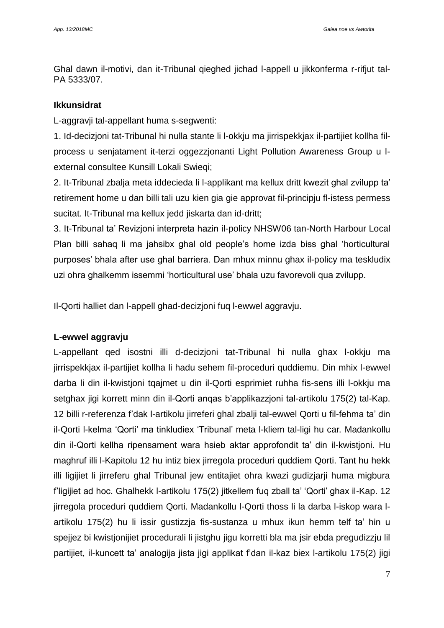Ghal dawn il-motivi, dan it-Tribunal qieghed jichad l-appell u jikkonferma r-rifjut tal-PA 5333/07.

## **Ikkunsidrat**

L-aggravji tal-appellant huma s-segwenti:

1. Id-decizjoni tat-Tribunal hi nulla stante li l-okkju ma jirrispekkjax il-partijiet kollha filprocess u senjatament it-terzi oggezzjonanti Light Pollution Awareness Group u lexternal consultee Kunsill Lokali Swieqi;

2. It-Tribunal zbalja meta iddecieda li l-applikant ma kellux dritt kwezit ghal zvilupp ta' retirement home u dan billi tali uzu kien gia gie approvat fil-principju fl-istess permess sucitat. It-Tribunal ma kellux jedd jiskarta dan id-dritt;

3. It-Tribunal ta' Revizjoni interpreta hazin il-policy NHSW06 tan-North Harbour Local Plan billi sahaq li ma jahsibx ghal old people's home izda biss ghal 'horticultural purposes' bhala after use ghal barriera. Dan mhux minnu ghax il-policy ma teskludix uzi ohra ghalkemm issemmi 'horticultural use' bhala uzu favorevoli qua zvilupp.

Il-Qorti halliet dan l-appell ghad-decizjoni fuq l-ewwel aggravju.

# **L-ewwel aggravju**

L-appellant qed isostni illi d-decizjoni tat-Tribunal hi nulla ghax l-okkju ma jirrispekkjax il-partijiet kollha li hadu sehem fil-proceduri quddiemu. Din mhix l-ewwel darba li din il-kwistjoni tqajmet u din il-Qorti esprimiet ruhha fis-sens illi l-okkju ma setghax jigi korrett minn din il-Qorti anqas b'applikazzjoni tal-artikolu 175(2) tal-Kap. 12 billi r-referenza f'dak l-artikolu jirreferi ghal zbalji tal-ewwel Qorti u fil-fehma ta' din il-Qorti l-kelma 'Qorti' ma tinkludiex 'Tribunal' meta l-kliem tal-ligi hu car. Madankollu din il-Qorti kellha ripensament wara hsieb aktar approfondit ta' din il-kwistjoni. Hu maghruf illi l-Kapitolu 12 hu intiz biex jirregola proceduri quddiem Qorti. Tant hu hekk illi ligijiet li jirreferu ghal Tribunal jew entitajiet ohra kwazi gudizjarji huma migbura f'ligijiet ad hoc. Ghalhekk l-artikolu 175(2) jitkellem fuq zball ta' 'Qorti' ghax il-Kap. 12 jirregola proceduri quddiem Qorti. Madankollu l-Qorti thoss li la darba l-iskop wara lartikolu 175(2) hu li issir gustizzja fis-sustanza u mhux ikun hemm telf ta' hin u spejjez bi kwistjonijiet procedurali li jistghu jigu korretti bla ma jsir ebda pregudizzju lil partijiet, il-kuncett ta' analogija jista jigi applikat f'dan il-kaz biex l-artikolu 175(2) jigi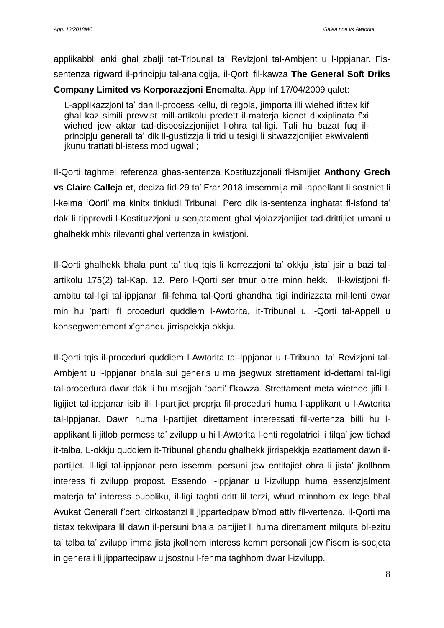applikabbli anki ghal zbalji tat-Tribunal ta' Revizjoni tal-Ambjent u l-Ippjanar. Fissentenza rigward il-principju tal-analogija, il-Qorti fil-kawza **The General Soft Driks Company Limited vs Korporazzjoni Enemalta**, App Inf 17/04/2009 qalet:

L-applikazzjoni ta' dan il-process kellu, di regola, jimporta illi wiehed ifittex kif ghal kaz simili prevvist mill-artikolu predett il-materja kienet dixxiplinata f'xi wiehed jew aktar tad-disposizzjonijiet l-ohra tal-ligi. Tali hu bazat fuq ilprincipju generali ta' dik il-gustizzja li trid u tesigi li sitwazzjonijiet ekwivalenti jkunu trattati bl-istess mod ugwali;

Il-Qorti taghmel referenza ghas-sentenza Kostituzzjonali fl-ismijiet **Anthony Grech vs Claire Calleja et**, deciza fid-29 ta' Frar 2018 imsemmija mill-appellant li sostniet li l-kelma 'Qorti' ma kinitx tinkludi Tribunal. Pero dik is-sentenza inghatat fl-isfond ta' dak li tipprovdi l-Kostituzzjoni u senjatament ghal vjolazzjonijiet tad-drittijiet umani u ghalhekk mhix rilevanti ghal vertenza in kwistjoni.

Il-Qorti ghalhekk bhala punt ta' tluq tqis li korrezzjoni ta' okkju jista' jsir a bazi talartikolu 175(2) tal-Kap. 12. Pero l-Qorti ser tmur oltre minn hekk. Il-kwistjoni flambitu tal-ligi tal-ippjanar, fil-fehma tal-Qorti ghandha tigi indirizzata mil-lenti dwar min hu 'parti' fi proceduri quddiem l-Awtorita, it-Tribunal u l-Qorti tal-Appell u konsegwentement x'ghandu jirrispekkja okkju.

Il-Qorti tqis il-proceduri quddiem l-Awtorita tal-Ippjanar u t-Tribunal ta' Revizjoni tal-Ambjent u l-Ippjanar bhala sui generis u ma jsegwux strettament id-dettami tal-ligi tal-procedura dwar dak li hu msejjah 'parti' f'kawza. Strettament meta wiethed jifli lligijiet tal-ippjanar isib illi l-partijiet proprja fil-proceduri huma l-applikant u l-Awtorita tal-Ippjanar. Dawn huma l-partijiet direttament interessati fil-vertenza billi hu lapplikant li jitlob permess ta' zvilupp u hi l-Awtorita l-enti regolatrici li tilqa' jew tichad it-talba. L-okkju quddiem it-Tribunal ghandu ghalhekk jirrispekkja ezattament dawn ilpartijiet. Il-ligi tal-ippjanar pero issemmi persuni jew entitajiet ohra li jista' jkollhom interess fi zvilupp propost. Essendo l-ippjanar u l-izvilupp huma essenzjalment materja ta' interess pubbliku, il-ligi taghti dritt lil terzi, whud minnhom ex lege bhal Avukat Generali f'certi cirkostanzi li jippartecipaw b'mod attiv fil-vertenza. Il-Qorti ma tistax tekwipara lil dawn il-persuni bhala partijiet li huma direttament milquta bl-ezitu ta' talba ta' zvilupp imma jista jkollhom interess kemm personali jew f'isem is-socjeta in generali li jippartecipaw u jsostnu l-fehma taghhom dwar l-izvilupp.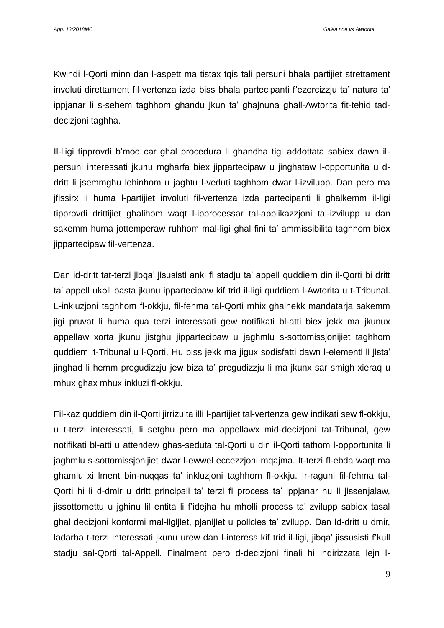Kwindi l-Qorti minn dan l-aspett ma tistax tqis tali persuni bhala partijiet strettament involuti direttament fil-vertenza izda biss bhala partecipanti f'ezercizzju ta' natura ta' ippjanar li s-sehem taghhom ghandu jkun ta' ghajnuna ghall-Awtorita fit-tehid taddecizjoni taghha.

Il-lligi tipprovdi b'mod car ghal procedura li ghandha tigi addottata sabiex dawn ilpersuni interessati jkunu mgharfa biex jippartecipaw u jinghataw l-opportunita u ddritt li jsemmghu lehinhom u jaghtu l-veduti taghhom dwar l-izvilupp. Dan pero ma jfissirx li huma l-partijiet involuti fil-vertenza izda partecipanti li ghalkemm il-ligi tipprovdi drittijiet ghalihom waqt l-ipprocessar tal-applikazzjoni tal-izvilupp u dan sakemm huma jottemperaw ruhhom mal-ligi ghal fini ta' ammissibilita taghhom biex jippartecipaw fil-vertenza.

Dan id-dritt tat-terzi jibqa' jisusisti anki fi stadju ta' appell quddiem din il-Qorti bi dritt ta' appell ukoll basta jkunu ippartecipaw kif trid il-ligi quddiem l-Awtorita u t-Tribunal. L-inkluzjoni taghhom fl-okkju, fil-fehma tal-Qorti mhix ghalhekk mandatarja sakemm jigi pruvat li huma qua terzi interessati gew notifikati bl-atti biex jekk ma jkunux appellaw xorta jkunu jistghu jippartecipaw u jaghmlu s-sottomissjonijiet taghhom quddiem it-Tribunal u l-Qorti. Hu biss jekk ma jigux sodisfatti dawn l-elementi li jista' jinghad li hemm pregudizzju jew biza ta' pregudizzju li ma jkunx sar smigh xieraq u mhux ghax mhux inkluzi fl-okkju.

Fil-kaz quddiem din il-Qorti jirrizulta illi l-partijiet tal-vertenza gew indikati sew fl-okkju, u t-terzi interessati, li setghu pero ma appellawx mid-decizjoni tat-Tribunal, gew notifikati bl-atti u attendew ghas-seduta tal-Qorti u din il-Qorti tathom l-opportunita li jaghmlu s-sottomissjonijiet dwar l-ewwel eccezzjoni mqajma. It-terzi fl-ebda waqt ma ghamlu xi lment bin-nuqqas ta' inkluzjoni taghhom fl-okkju. Ir-raguni fil-fehma tal-Qorti hi li d-dmir u dritt principali ta' terzi fi process ta' ippjanar hu li jissenjalaw, jissottomettu u jghinu lil entita li f'idejha hu mholli process ta' zvilupp sabiex tasal ghal decizjoni konformi mal-ligijiet, pjanijiet u policies ta' zvilupp. Dan id-dritt u dmir, ladarba t-terzi interessati jkunu urew dan l-interess kif trid il-ligi, jibqa' jissusisti f'kull stadju sal-Qorti tal-Appell. Finalment pero d-decizjoni finali hi indirizzata lejn l